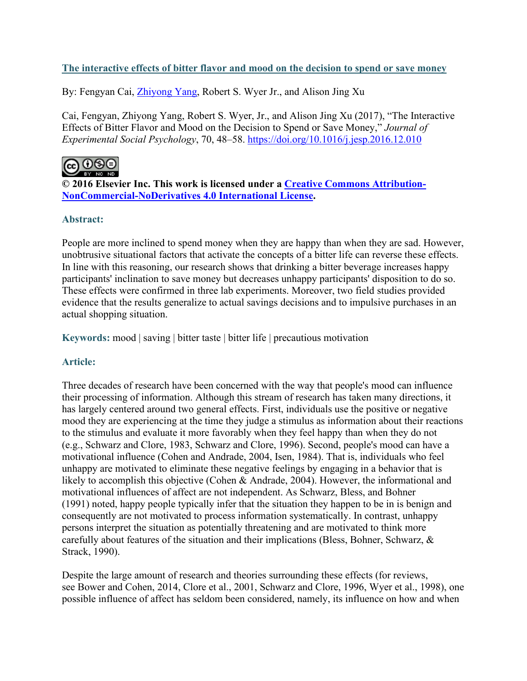## **The interactive effects of bitter flavor and mood on the decision to spend or save money**

By: Fengyan Cai, [Zhiyong Yang,](https://libres.uncg.edu/ir/uncg/clist.aspx?id=25898) Robert S. Wyer Jr., and Alison Jing Xu

Cai, Fengyan, Zhiyong Yang, Robert S. Wyer, Jr., and Alison Jing Xu (2017), "The Interactive Effects of Bitter Flavor and Mood on the Decision to Spend or Save Money," *Journal of Experimental Social Psychology*, 70, 48–58. <https://doi.org/10.1016/j.jesp.2016.12.010>



**© 2016 Elsevier Inc. This work is licensed under a [Creative Commons Attribution-](http://creativecommons.org/licenses/by-nc-nd/4.0/)[NonCommercial-NoDerivatives 4.0 International License.](http://creativecommons.org/licenses/by-nc-nd/4.0/)**

## **Abstract:**

People are more inclined to spend money when they are happy than when they are sad. However, unobtrusive situational factors that activate the concepts of a bitter life can reverse these effects. In line with this reasoning, our research shows that drinking a bitter beverage increases happy participants' inclination to save money but decreases unhappy participants' disposition to do so. These effects were confirmed in three lab experiments. Moreover, two field studies provided evidence that the results generalize to actual savings decisions and to impulsive purchases in an actual shopping situation.

**Keywords:** mood | saving | bitter taste | bitter life | precautious motivation

## **Article:**

Three decades of research have been concerned with the way that people's mood can influence their processing of information. Although this stream of research has taken many directions, it has largely centered around two general effects. First, individuals use the positive or negative mood they are experiencing at the time they judge a stimulus as information about their reactions to the stimulus and evaluate it more favorably when they feel happy than when they do not (e.g., Schwarz and Clore, 1983, Schwarz and Clore, 1996). Second, people's mood can have a motivational influence (Cohen and Andrade, 2004, Isen, 1984). That is, individuals who feel unhappy are motivated to eliminate these negative feelings by engaging in a behavior that is likely to accomplish this objective (Cohen & Andrade, 2004). However, the informational and motivational influences of affect are not independent. As Schwarz, Bless, and Bohner (1991) noted, happy people typically infer that the situation they happen to be in is benign and consequently are not motivated to process information systematically. In contrast, unhappy persons interpret the situation as potentially threatening and are motivated to think more carefully about features of the situation and their implications (Bless, Bohner, Schwarz, & Strack, 1990).

Despite the large amount of research and theories surrounding these effects (for reviews, see Bower and Cohen, 2014, Clore et al., 2001, Schwarz and Clore, 1996, Wyer et al., 1998), one possible influence of affect has seldom been considered, namely, its influence on how and when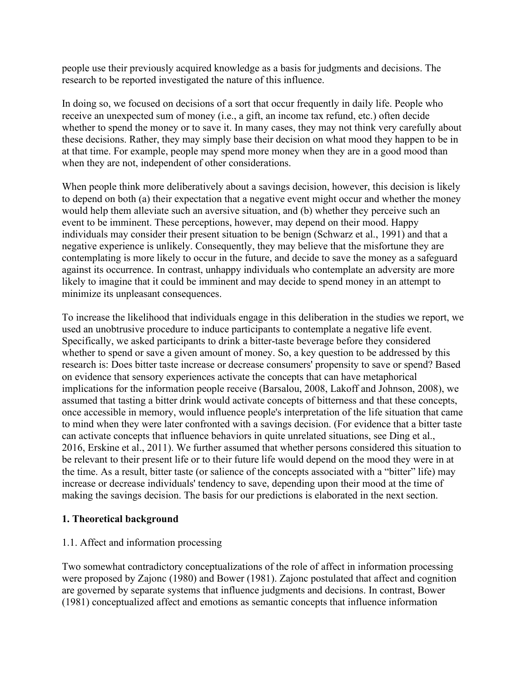people use their previously acquired knowledge as a basis for judgments and decisions. The research to be reported investigated the nature of this influence.

In doing so, we focused on decisions of a sort that occur frequently in daily life. People who receive an unexpected sum of money (i.e., a gift, an income tax refund, etc.) often decide whether to spend the money or to save it. In many cases, they may not think very carefully about these decisions. Rather, they may simply base their decision on what mood they happen to be in at that time. For example, people may spend more money when they are in a good mood than when they are not, independent of other considerations.

When people think more deliberatively about a savings decision, however, this decision is likely to depend on both (a) their expectation that a negative event might occur and whether the money would help them alleviate such an aversive situation, and (b) whether they perceive such an event to be imminent. These perceptions, however, may depend on their mood. Happy individuals may consider their present situation to be benign (Schwarz et al., 1991) and that a negative experience is unlikely. Consequently, they may believe that the misfortune they are contemplating is more likely to occur in the future, and decide to save the money as a safeguard against its occurrence. In contrast, unhappy individuals who contemplate an adversity are more likely to imagine that it could be imminent and may decide to spend money in an attempt to minimize its unpleasant consequences.

To increase the likelihood that individuals engage in this deliberation in the studies we report, we used an unobtrusive procedure to induce participants to contemplate a negative life event. Specifically, we asked participants to drink a bitter-taste beverage before they considered whether to spend or save a given amount of money. So, a key question to be addressed by this research is: Does bitter taste increase or decrease consumers' propensity to save or spend? Based on evidence that sensory experiences activate the concepts that can have metaphorical implications for the information people receive (Barsalou, 2008, Lakoff and Johnson, 2008), we assumed that tasting a bitter drink would activate concepts of bitterness and that these concepts, once accessible in memory, would influence people's interpretation of the life situation that came to mind when they were later confronted with a savings decision. (For evidence that a bitter taste can activate concepts that influence behaviors in quite unrelated situations, see Ding et al., 2016, Erskine et al., 2011). We further assumed that whether persons considered this situation to be relevant to their present life or to their future life would depend on the mood they were in at the time. As a result, bitter taste (or salience of the concepts associated with a "bitter" life) may increase or decrease individuals' tendency to save, depending upon their mood at the time of making the savings decision. The basis for our predictions is elaborated in the next section.

## **1. Theoretical background**

## 1.1. Affect and information processing

Two somewhat contradictory conceptualizations of the role of affect in information processing were proposed by Zajonc (1980) and Bower (1981). Zajonc postulated that affect and cognition are governed by separate systems that influence judgments and decisions. In contrast, Bower (1981) conceptualized affect and emotions as semantic concepts that influence information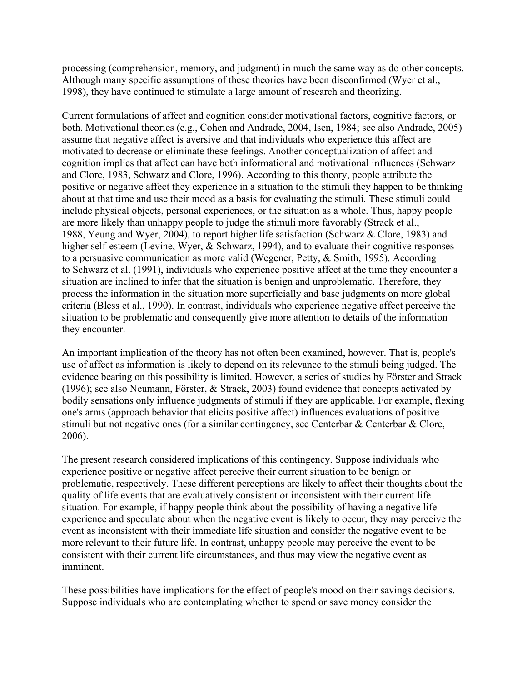processing (comprehension, memory, and judgment) in much the same way as do other concepts. Although many specific assumptions of these theories have been disconfirmed (Wyer et al., 1998), they have continued to stimulate a large amount of research and theorizing.

Current formulations of affect and cognition consider motivational factors, cognitive factors, or both. Motivational theories (e.g., Cohen and Andrade, 2004, Isen, 1984; see also Andrade, 2005) assume that negative affect is aversive and that individuals who experience this affect are motivated to decrease or eliminate these feelings. Another conceptualization of affect and cognition implies that affect can have both informational and motivational influences (Schwarz and Clore, 1983, Schwarz and Clore, 1996). According to this theory, people attribute the positive or negative affect they experience in a situation to the stimuli they happen to be thinking about at that time and use their mood as a basis for evaluating the stimuli. These stimuli could include physical objects, personal experiences, or the situation as a whole. Thus, happy people are more likely than unhappy people to judge the stimuli more favorably (Strack et al., 1988, Yeung and Wyer, 2004), to report higher life satisfaction (Schwarz & Clore, 1983) and higher self-esteem (Levine, Wyer, & Schwarz, 1994), and to evaluate their cognitive responses to a persuasive communication as more valid (Wegener, Petty, & Smith, 1995). According to Schwarz et al. (1991), individuals who experience positive affect at the time they encounter a situation are inclined to infer that the situation is benign and unproblematic. Therefore, they process the information in the situation more superficially and base judgments on more global criteria (Bless et al., 1990). In contrast, individuals who experience negative affect perceive the situation to be problematic and consequently give more attention to details of the information they encounter.

An important implication of the theory has not often been examined, however. That is, people's use of affect as information is likely to depend on its relevance to the stimuli being judged. The evidence bearing on this possibility is limited. However, a series of studies by Förster and Strack (1996); see also Neumann, Förster, & Strack, 2003) found evidence that concepts activated by bodily sensations only influence judgments of stimuli if they are applicable. For example, flexing one's arms (approach behavior that elicits positive affect) influences evaluations of positive stimuli but not negative ones (for a similar contingency, see Centerbar & Centerbar & Clore, 2006).

The present research considered implications of this contingency. Suppose individuals who experience positive or negative affect perceive their current situation to be benign or problematic, respectively. These different perceptions are likely to affect their thoughts about the quality of life events that are evaluatively consistent or inconsistent with their current life situation. For example, if happy people think about the possibility of having a negative life experience and speculate about when the negative event is likely to occur, they may perceive the event as inconsistent with their immediate life situation and consider the negative event to be more relevant to their future life. In contrast, unhappy people may perceive the event to be consistent with their current life circumstances, and thus may view the negative event as imminent.

These possibilities have implications for the effect of people's mood on their savings decisions. Suppose individuals who are contemplating whether to spend or save money consider the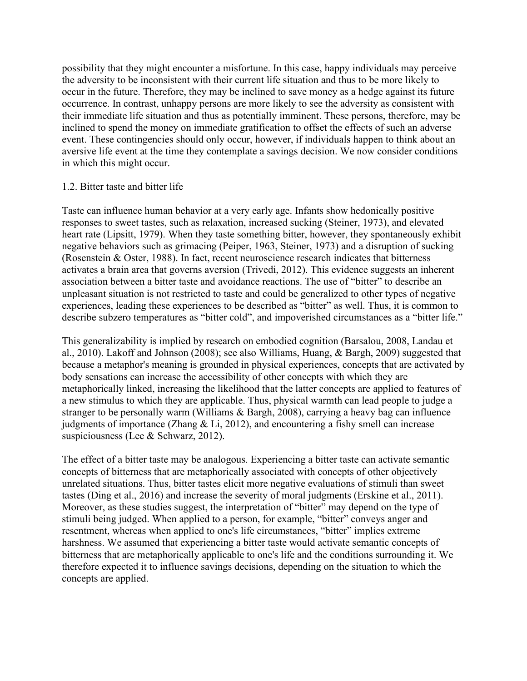possibility that they might encounter a misfortune. In this case, happy individuals may perceive the adversity to be inconsistent with their current life situation and thus to be more likely to occur in the future. Therefore, they may be inclined to save money as a hedge against its future occurrence. In contrast, unhappy persons are more likely to see the adversity as consistent with their immediate life situation and thus as potentially imminent. These persons, therefore, may be inclined to spend the money on immediate gratification to offset the effects of such an adverse event. These contingencies should only occur, however, if individuals happen to think about an aversive life event at the time they contemplate a savings decision. We now consider conditions in which this might occur.

#### 1.2. Bitter taste and bitter life

Taste can influence human behavior at a very early age. Infants show hedonically positive responses to sweet tastes, such as relaxation, increased sucking (Steiner, 1973), and elevated heart rate (Lipsitt, 1979). When they taste something bitter, however, they spontaneously exhibit negative behaviors such as grimacing (Peiper, 1963, Steiner, 1973) and a disruption of sucking (Rosenstein & Oster, 1988). In fact, recent neuroscience research indicates that bitterness activates a brain area that governs aversion (Trivedi, 2012). This evidence suggests an inherent association between a bitter taste and avoidance reactions. The use of "bitter" to describe an unpleasant situation is not restricted to taste and could be generalized to other types of negative experiences, leading these experiences to be described as "bitter" as well. Thus, it is common to describe subzero temperatures as "bitter cold", and impoverished circumstances as a "bitter life."

This generalizability is implied by research on embodied cognition (Barsalou, 2008, Landau et al., 2010). Lakoff and Johnson (2008); see also Williams, Huang, & Bargh, 2009) suggested that because a metaphor's meaning is grounded in physical experiences, concepts that are activated by body sensations can increase the accessibility of other concepts with which they are metaphorically linked, increasing the likelihood that the latter concepts are applied to features of a new stimulus to which they are applicable. Thus, physical warmth can lead people to judge a stranger to be personally warm (Williams & Bargh, 2008), carrying a heavy bag can influence judgments of importance (Zhang & Li, 2012), and encountering a fishy smell can increase suspiciousness (Lee & Schwarz, 2012).

The effect of a bitter taste may be analogous. Experiencing a bitter taste can activate semantic concepts of bitterness that are metaphorically associated with concepts of other objectively unrelated situations. Thus, bitter tastes elicit more negative evaluations of stimuli than sweet tastes (Ding et al., 2016) and increase the severity of moral judgments (Erskine et al., 2011). Moreover, as these studies suggest, the interpretation of "bitter" may depend on the type of stimuli being judged. When applied to a person, for example, "bitter" conveys anger and resentment, whereas when applied to one's life circumstances, "bitter" implies extreme harshness. We assumed that experiencing a bitter taste would activate semantic concepts of bitterness that are metaphorically applicable to one's life and the conditions surrounding it. We therefore expected it to influence savings decisions, depending on the situation to which the concepts are applied.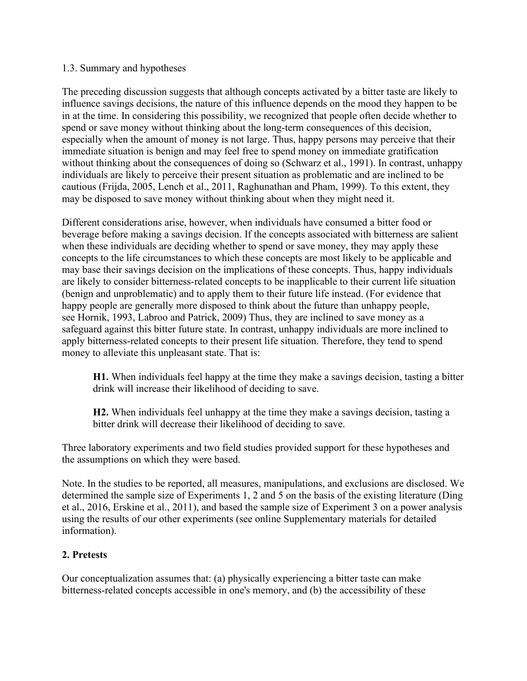#### 1.3. Summary and hypotheses

The preceding discussion suggests that although concepts activated by a bitter taste are likely to influence savings decisions, the nature of this influence depends on the mood they happen to be in at the time. In considering this possibility, we recognized that people often decide whether to spend or save money without thinking about the long-term consequences of this decision, especially when the amount of money is not large. Thus, happy persons may perceive that their immediate situation is benign and may feel free to spend money on immediate gratification without thinking about the consequences of doing so (Schwarz et al., 1991). In contrast, unhappy individuals are likely to perceive their present situation as problematic and are inclined to be cautious (Frijda, 2005, Lench et al., 2011, Raghunathan and Pham, 1999). To this extent, they may be disposed to save money without thinking about when they might need it.

Different considerations arise, however, when individuals have consumed a bitter food or beverage before making a savings decision. If the concepts associated with bitterness are salient when these individuals are deciding whether to spend or save money, they may apply these concepts to the life circumstances to which these concepts are most likely to be applicable and may base their savings decision on the implications of these concepts. Thus, happy individuals are likely to consider bitterness-related concepts to be inapplicable to their current life situation (benign and unproblematic) and to apply them to their future life instead. (For evidence that happy people are generally more disposed to think about the future than unhappy people, see Hornik, 1993, Labroo and Patrick, 2009) Thus, they are inclined to save money as a safeguard against this bitter future state. In contrast, unhappy individuals are more inclined to apply bitterness-related concepts to their present life situation. Therefore, they tend to spend money to alleviate this unpleasant state. That is:

**H1.** When individuals feel happy at the time they make a savings decision, tasting a bitter drink will increase their likelihood of deciding to save.

**H2.** When individuals feel unhappy at the time they make a savings decision, tasting a bitter drink will decrease their likelihood of deciding to save.

Three laboratory experiments and two field studies provided support for these hypotheses and the assumptions on which they were based.

Note. In the studies to be reported, all measures, manipulations, and exclusions are disclosed. We determined the sample size of Experiments 1, 2 and 5 on the basis of the existing literature (Ding et al., 2016, Erskine et al., 2011), and based the sample size of Experiment 3 on a power analysis using the results of our other experiments (see online Supplementary materials for detailed information).

#### **2. Pretests**

Our conceptualization assumes that: (a) physically experiencing a bitter taste can make bitterness-related concepts accessible in one's memory, and (b) the accessibility of these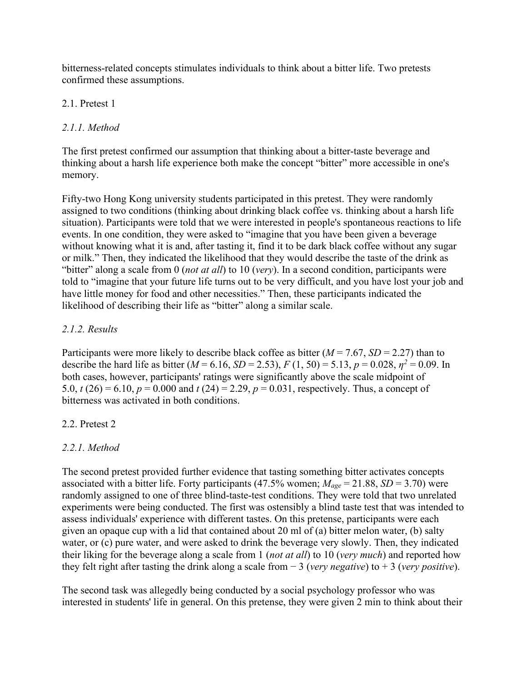bitterness-related concepts stimulates individuals to think about a bitter life. Two pretests confirmed these assumptions.

## 2.1. Pretest 1

# *2.1.1. Method*

The first pretest confirmed our assumption that thinking about a bitter-taste beverage and thinking about a harsh life experience both make the concept "bitter" more accessible in one's memory.

Fifty-two Hong Kong university students participated in this pretest. They were randomly assigned to two conditions (thinking about drinking black coffee vs. thinking about a harsh life situation). Participants were told that we were interested in people's spontaneous reactions to life events. In one condition, they were asked to "imagine that you have been given a beverage without knowing what it is and, after tasting it, find it to be dark black coffee without any sugar or milk." Then, they indicated the likelihood that they would describe the taste of the drink as "bitter" along a scale from 0 (*not at all*) to 10 (*very*). In a second condition, participants were told to "imagine that your future life turns out to be very difficult, and you have lost your job and have little money for food and other necessities." Then, these participants indicated the likelihood of describing their life as "bitter" along a similar scale.

## *2.1.2. Results*

Participants were more likely to describe black coffee as bitter (*M* = 7.67, *SD* = 2.27) than to describe the hard life as bitter ( $M = 6.16$ ,  $SD = 2.53$ ),  $F(1, 50) = 5.13$ ,  $p = 0.028$ ,  $\eta^2 = 0.09$ . In both cases, however, participants' ratings were significantly above the scale midpoint of 5.0,  $t(26) = 6.10$ ,  $p = 0.000$  and  $t(24) = 2.29$ ,  $p = 0.031$ , respectively. Thus, a concept of bitterness was activated in both conditions.

## 2.2. Pretest 2

# *2.2.1. Method*

The second pretest provided further evidence that tasting something bitter activates concepts associated with a bitter life. Forty participants  $(47.5\%$  women;  $M_{age} = 21.88$ ,  $SD = 3.70$ ) were randomly assigned to one of three blind-taste-test conditions. They were told that two unrelated experiments were being conducted. The first was ostensibly a blind taste test that was intended to assess individuals' experience with different tastes. On this pretense, participants were each given an opaque cup with a lid that contained about 20 ml of (a) bitter melon water, (b) salty water, or (c) pure water, and were asked to drink the beverage very slowly. Then, they indicated their liking for the beverage along a scale from 1 (*not at all*) to 10 (*very much*) and reported how they felt right after tasting the drink along a scale from − 3 (*very negative*) to + 3 (*very positive*).

The second task was allegedly being conducted by a social psychology professor who was interested in students' life in general. On this pretense, they were given 2 min to think about their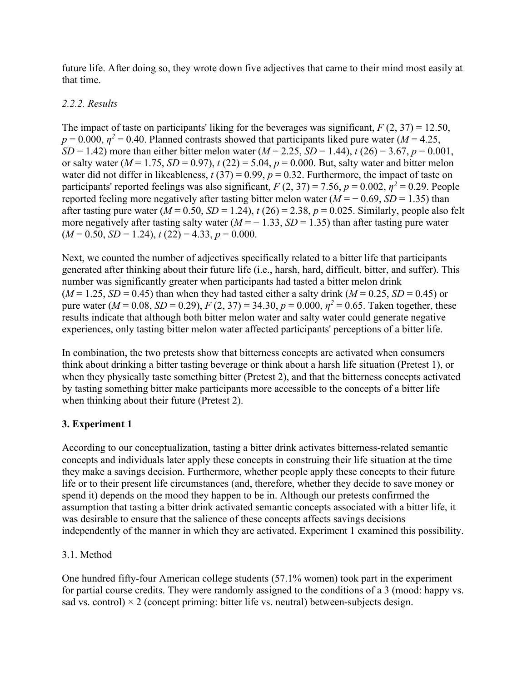future life. After doing so, they wrote down five adjectives that came to their mind most easily at that time.

## *2.2.2. Results*

The impact of taste on participants' liking for the beverages was significant,  $F(2, 37) = 12.50$ ,  $p = 0.000$ ,  $p^2 = 0.40$ . Planned contrasts showed that participants liked pure water (*M* = 4.25, *SD* = 1.42) more than either bitter melon water (*M* = 2.25, *SD* = 1.44), *t* (26) = 3.67, *p* = 0.001, or salty water  $(M = 1.75, SD = 0.97)$ ,  $t(22) = 5.04$ ,  $p = 0.000$ . But, salty water and bitter melon water did not differ in likeableness,  $t(37) = 0.99$ ,  $p = 0.32$ . Furthermore, the impact of taste on participants' reported feelings was also significant,  $F(2, 37) = 7.56$ ,  $p = 0.002$ ,  $p^2 = 0.29$ . People reported feeling more negatively after tasting bitter melon water  $(M = -0.69, SD = 1.35)$  than after tasting pure water  $(M = 0.50, SD = 1.24)$ ,  $t(26) = 2.38$ ,  $p = 0.025$ . Similarly, people also felt more negatively after tasting salty water  $(M = -1.33, SD = 1.35)$  than after tasting pure water  $(M = 0.50, SD = 1.24), t(22) = 4.33, p = 0.000.$ 

Next, we counted the number of adjectives specifically related to a bitter life that participants generated after thinking about their future life (i.e., harsh, hard, difficult, bitter, and suffer). This number was significantly greater when participants had tasted a bitter melon drink  $(M = 1.25, SD = 0.45)$  than when they had tasted either a salty drink  $(M = 0.25, SD = 0.45)$  or pure water ( $M = 0.08$ ,  $SD = 0.29$ ),  $F(2, 37) = 34.30$ ,  $p = 0.000$ ,  $p^2 = 0.65$ . Taken together, these results indicate that although both bitter melon water and salty water could generate negative experiences, only tasting bitter melon water affected participants' perceptions of a bitter life.

In combination, the two pretests show that bitterness concepts are activated when consumers think about drinking a bitter tasting beverage or think about a harsh life situation (Pretest 1), or when they physically taste something bitter (Pretest 2), and that the bitterness concepts activated by tasting something bitter make participants more accessible to the concepts of a bitter life when thinking about their future (Pretest 2).

# **3. Experiment 1**

According to our conceptualization, tasting a bitter drink activates bitterness-related semantic concepts and individuals later apply these concepts in construing their life situation at the time they make a savings decision. Furthermore, whether people apply these concepts to their future life or to their present life circumstances (and, therefore, whether they decide to save money or spend it) depends on the mood they happen to be in. Although our pretests confirmed the assumption that tasting a bitter drink activated semantic concepts associated with a bitter life, it was desirable to ensure that the salience of these concepts affects savings decisions independently of the manner in which they are activated. Experiment 1 examined this possibility.

## 3.1. Method

One hundred fifty-four American college students (57.1% women) took part in the experiment for partial course credits. They were randomly assigned to the conditions of a 3 (mood: happy vs. sad vs. control)  $\times$  2 (concept priming: bitter life vs. neutral) between-subjects design.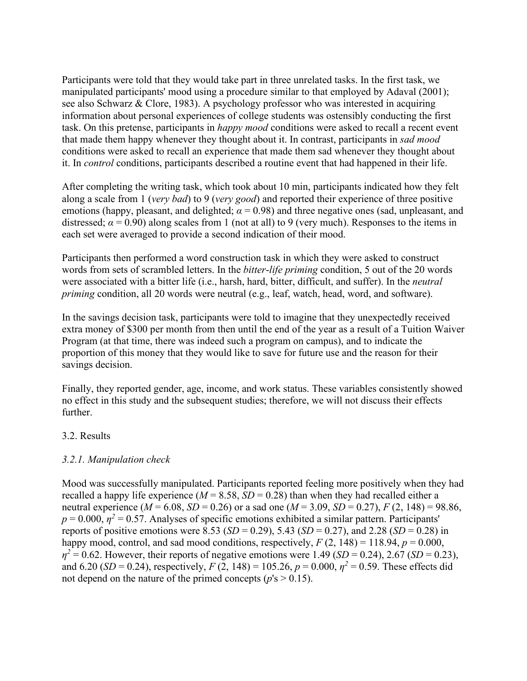Participants were told that they would take part in three unrelated tasks. In the first task, we manipulated participants' mood using a procedure similar to that employed by Adaval (2001); see also Schwarz & Clore, 1983). A psychology professor who was interested in acquiring information about personal experiences of college students was ostensibly conducting the first task. On this pretense, participants in *happy mood* conditions were asked to recall a recent event that made them happy whenever they thought about it. In contrast, participants in *sad mood* conditions were asked to recall an experience that made them sad whenever they thought about it. In *control* conditions, participants described a routine event that had happened in their life.

After completing the writing task, which took about 10 min, participants indicated how they felt along a scale from 1 (*very bad*) to 9 (*very good*) and reported their experience of three positive emotions (happy, pleasant, and delighted;  $\alpha$  = 0.98) and three negative ones (sad, unpleasant, and distressed;  $\alpha$  = 0.90) along scales from 1 (not at all) to 9 (very much). Responses to the items in each set were averaged to provide a second indication of their mood.

Participants then performed a word construction task in which they were asked to construct words from sets of scrambled letters. In the *bitter*-*life priming* condition, 5 out of the 20 words were associated with a bitter life (i.e., harsh, hard, bitter, difficult, and suffer). In the *neutral priming* condition, all 20 words were neutral (e.g., leaf, watch, head, word, and software).

In the savings decision task, participants were told to imagine that they unexpectedly received extra money of \$300 per month from then until the end of the year as a result of a Tuition Waiver Program (at that time, there was indeed such a program on campus), and to indicate the proportion of this money that they would like to save for future use and the reason for their savings decision.

Finally, they reported gender, age, income, and work status. These variables consistently showed no effect in this study and the subsequent studies; therefore, we will not discuss their effects further.

#### 3.2. Results

## *3.2.1. Manipulation check*

Mood was successfully manipulated. Participants reported feeling more positively when they had recalled a happy life experience  $(M = 8.58, SD = 0.28)$  than when they had recalled either a neutral experience ( $M = 6.08$ ,  $SD = 0.26$ ) or a sad one ( $M = 3.09$ ,  $SD = 0.27$ ),  $F (2, 148) = 98.86$ ,  $p = 0.000$ ,  $p^2 = 0.57$ . Analyses of specific emotions exhibited a similar pattern. Participants' reports of positive emotions were 8.53 (*SD* = 0.29), 5.43 (*SD* = 0.27), and 2.28 (*SD* = 0.28) in happy mood, control, and sad mood conditions, respectively,  $F(2, 148) = 118.94$ ,  $p = 0.000$ ,  $\eta^2 = 0.62$ . However, their reports of negative emotions were 1.49 (*SD* = 0.24), 2.67 (*SD* = 0.23), and 6.20 (*SD* = 0.24), respectively, *F* (2, 148) = 105.26, *p* = 0.000,  $\eta^2$  = 0.59. These effects did not depend on the nature of the primed concepts ( $p$ 's  $> 0.15$ ).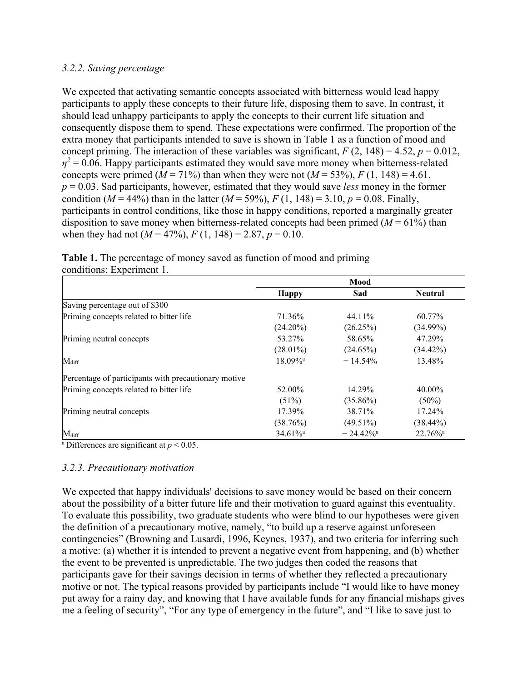#### *3.2.2. Saving percentage*

We expected that activating semantic concepts associated with bitterness would lead happy participants to apply these concepts to their future life, disposing them to save. In contrast, it should lead unhappy participants to apply the concepts to their current life situation and consequently dispose them to spend. These expectations were confirmed. The proportion of the extra money that participants intended to save is shown in Table 1 as a function of mood and concept priming. The interaction of these variables was significant,  $F(2, 148) = 4.52$ ,  $p = 0.012$ ,  $\eta^2$  = 0.06. Happy participants estimated they would save more money when bitterness-related concepts were primed ( $M = 71\%$ ) than when they were not ( $M = 53\%$ ),  $F(1, 148) = 4.61$ , *p* = 0.03. Sad participants, however, estimated that they would save *less* money in the former condition ( $M = 44\%$ ) than in the latter ( $M = 59\%$ ),  $F(1, 148) = 3.10$ ,  $p = 0.08$ . Finally, participants in control conditions, like those in happy conditions, reported a marginally greater disposition to save money when bitterness-related concepts had been primed  $(M = 61\%)$  than when they had not  $(M = 47\%)$ ,  $F(1, 148) = 2.87$ ,  $p = 0.10$ .

**Table 1.** The percentage of money saved as function of mood and priming conditions: Experiment 1.

|                                                      | Mood                   |                         |                        |
|------------------------------------------------------|------------------------|-------------------------|------------------------|
|                                                      | <b>Happy</b>           | Sad                     | <b>Neutral</b>         |
| Saving percentage out of \$300                       |                        |                         |                        |
| Priming concepts related to bitter life              | 71.36%                 | 44.11%                  | 60.77%                 |
|                                                      | $(24.20\%)$            | $(26.25\%)$             | $(34.99\%)$            |
| Priming neutral concepts                             | 53.27%                 | 58.65%                  | 47.29%                 |
|                                                      | $(28.01\%)$            | $(24.65\%)$             | $(34.42\%)$            |
| $M_{\rm diff}$                                       | $18.09\%$ <sup>a</sup> | $-14.54%$               | 13.48%                 |
| Percentage of participants with precautionary motive |                        |                         |                        |
| Priming concepts related to bitter life              | 52.00%                 | 14.29%                  | 40.00%                 |
|                                                      | (51%)                  | $(35.86\%)$             | $(50\%)$               |
| Priming neutral concepts                             | 17.39%                 | 38.71%                  | 17.24%                 |
|                                                      | (38.76%)               | $(49.51\%)$             | $(38.44\%)$            |
| $M_{\rm diff}$                                       | $34.61\%$ <sup>a</sup> | $-24.42\%$ <sup>a</sup> | $22.76\%$ <sup>a</sup> |

<sup>a</sup> Differences are significant at  $p < 0.05$ .

#### *3.2.3. Precautionary motivation*

We expected that happy individuals' decisions to save money would be based on their concern about the possibility of a bitter future life and their motivation to guard against this eventuality. To evaluate this possibility, two graduate students who were blind to our hypotheses were given the definition of a precautionary motive, namely, "to build up a reserve against unforeseen contingencies" (Browning and Lusardi, 1996, Keynes, 1937), and two criteria for inferring such a motive: (a) whether it is intended to prevent a negative event from happening, and (b) whether the event to be prevented is unpredictable. The two judges then coded the reasons that participants gave for their savings decision in terms of whether they reflected a precautionary motive or not. The typical reasons provided by participants include "I would like to have money put away for a rainy day, and knowing that I have available funds for any financial mishaps gives me a feeling of security", "For any type of emergency in the future", and "I like to save just to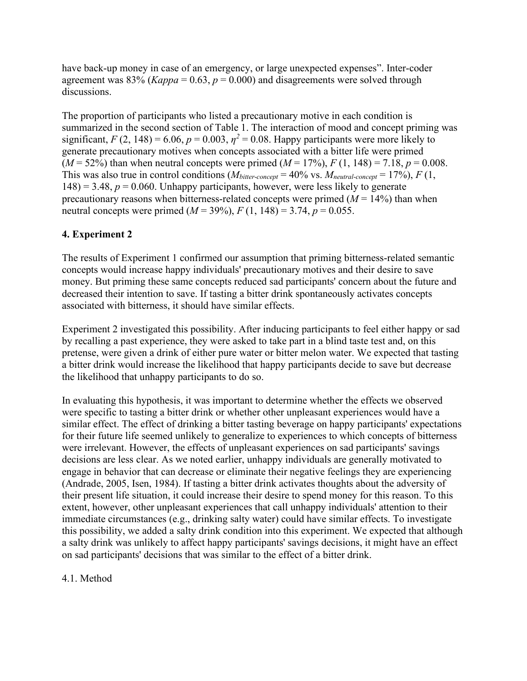have back-up money in case of an emergency, or large unexpected expenses". Inter-coder agreement was 83% ( $Kappa = 0.63$ ,  $p = 0.000$ ) and disagreements were solved through discussions.

The proportion of participants who listed a precautionary motive in each condition is summarized in the second section of Table 1. The interaction of mood and concept priming was significant,  $F(2, 148) = 6.06$ ,  $p = 0.003$ ,  $\eta^2 = 0.08$ . Happy participants were more likely to generate precautionary motives when concepts associated with a bitter life were primed  $(M = 52\%)$  than when neutral concepts were primed  $(M = 17\%)$ ,  $F(1, 148) = 7.18$ ,  $p = 0.008$ . This was also true in control conditions  $(M_{bitter\-concept} = 40\% \text{ vs. } M_{neutral\-concept} = 17\%), F(1,$  $148$ ) = 3.48,  $p = 0.060$ . Unhappy participants, however, were less likely to generate precautionary reasons when bitterness-related concepts were primed  $(M = 14\%)$  than when neutral concepts were primed  $(M = 39\%)$ ,  $F(1, 148) = 3.74$ ,  $p = 0.055$ .

## **4. Experiment 2**

The results of Experiment 1 confirmed our assumption that priming bitterness-related semantic concepts would increase happy individuals' precautionary motives and their desire to save money. But priming these same concepts reduced sad participants' concern about the future and decreased their intention to save. If tasting a bitter drink spontaneously activates concepts associated with bitterness, it should have similar effects.

Experiment 2 investigated this possibility. After inducing participants to feel either happy or sad by recalling a past experience, they were asked to take part in a blind taste test and, on this pretense, were given a drink of either pure water or bitter melon water. We expected that tasting a bitter drink would increase the likelihood that happy participants decide to save but decrease the likelihood that unhappy participants to do so.

In evaluating this hypothesis, it was important to determine whether the effects we observed were specific to tasting a bitter drink or whether other unpleasant experiences would have a similar effect. The effect of drinking a bitter tasting beverage on happy participants' expectations for their future life seemed unlikely to generalize to experiences to which concepts of bitterness were irrelevant. However, the effects of unpleasant experiences on sad participants' savings decisions are less clear. As we noted earlier, unhappy individuals are generally motivated to engage in behavior that can decrease or eliminate their negative feelings they are experiencing (Andrade, 2005, Isen, 1984). If tasting a bitter drink activates thoughts about the adversity of their present life situation, it could increase their desire to spend money for this reason. To this extent, however, other unpleasant experiences that call unhappy individuals' attention to their immediate circumstances (e.g., drinking salty water) could have similar effects. To investigate this possibility, we added a salty drink condition into this experiment. We expected that although a salty drink was unlikely to affect happy participants' savings decisions, it might have an effect on sad participants' decisions that was similar to the effect of a bitter drink.

#### 4.1. Method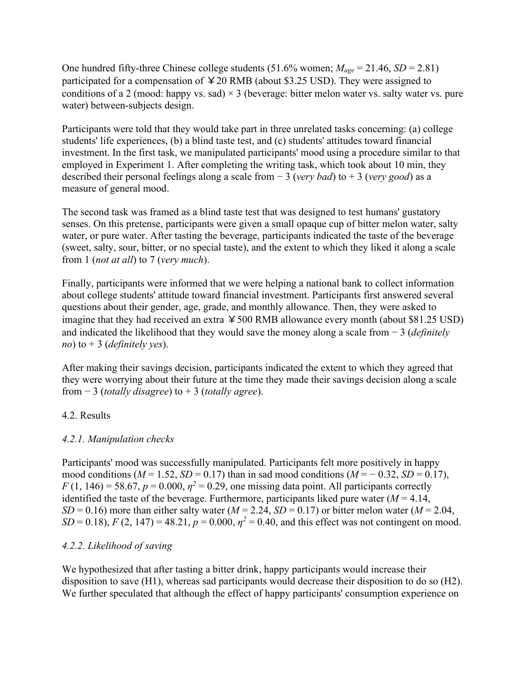One hundred fifty-three Chinese college students (51.6% women; *Mage* = 21.46, *SD* = 2.81) participated for a compensation of  $420$  RMB (about \$3.25 USD). They were assigned to conditions of a 2 (mood: happy vs. sad)  $\times$  3 (beverage: bitter melon water vs. salty water vs. pure water) between-subjects design.

Participants were told that they would take part in three unrelated tasks concerning: (a) college students' life experiences, (b) a blind taste test, and (c) students' attitudes toward financial investment. In the first task, we manipulated participants' mood using a procedure similar to that employed in Experiment 1. After completing the writing task, which took about 10 min, they described their personal feelings along a scale from − 3 (*very bad*) to + 3 (*very good*) as a measure of general mood.

The second task was framed as a blind taste test that was designed to test humans' gustatory senses. On this pretense, participants were given a small opaque cup of bitter melon water, salty water, or pure water. After tasting the beverage, participants indicated the taste of the beverage (sweet, salty, sour, bitter, or no special taste), and the extent to which they liked it along a scale from 1 (*not at all*) to 7 (*very much*).

Finally, participants were informed that we were helping a national bank to collect information about college students' attitude toward financial investment. Participants first answered several questions about their gender, age, grade, and monthly allowance. Then, they were asked to imagine that they had received an extra  $4500$  RMB allowance every month (about \$81.25 USD) and indicated the likelihood that they would save the money along a scale from − 3 (*definitely no*) to + 3 (*definitely yes*).

After making their savings decision, participants indicated the extent to which they agreed that they were worrying about their future at the time they made their savings decision along a scale from − 3 (*totally disagree*) to + 3 (*totally agree*).

## 4.2. Results

## *4.2.1. Manipulation checks*

Participants' mood was successfully manipulated. Participants felt more positively in happy mood conditions ( $M = 1.52$ ,  $SD = 0.17$ ) than in sad mood conditions ( $M = -0.32$ ,  $SD = 0.17$ ),  $F(1, 146) = 58.67$ ,  $p = 0.000$ ,  $p^2 = 0.29$ , one missing data point. All participants correctly identified the taste of the beverage. Furthermore, participants liked pure water  $(M = 4.14,$  $SD = 0.16$ ) more than either salty water ( $M = 2.24$ ,  $SD = 0.17$ ) or bitter melon water ( $M = 2.04$ , *SD* = 0.18), *F* (2, 147) = 48.21,  $p = 0.000$ ,  $p^2 = 0.40$ , and this effect was not contingent on mood.

## *4.2.2. Likelihood of saving*

We hypothesized that after tasting a bitter drink, happy participants would increase their disposition to save (H1), whereas sad participants would decrease their disposition to do so (H2). We further speculated that although the effect of happy participants' consumption experience on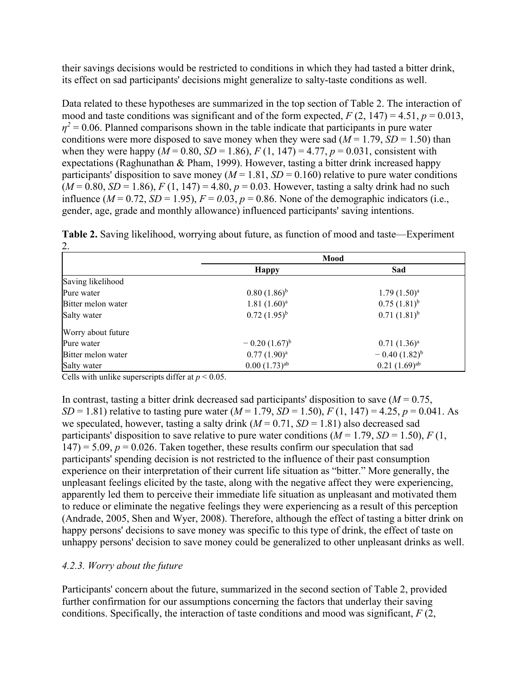their savings decisions would be restricted to conditions in which they had tasted a bitter drink, its effect on sad participants' decisions might generalize to salty-taste conditions as well.

Data related to these hypotheses are summarized in the top section of Table 2. The interaction of mood and taste conditions was significant and of the form expected,  $F(2, 147) = 4.51$ ,  $p = 0.013$ ,  $\eta^2$  = 0.06. Planned comparisons shown in the table indicate that participants in pure water conditions were more disposed to save money when they were sad ( $M = 1.79$ ,  $SD = 1.50$ ) than when they were happy ( $M = 0.80$ ,  $SD = 1.86$ ),  $F(1, 147) = 4.77$ ,  $p = 0.031$ , consistent with expectations (Raghunathan & Pham, 1999). However, tasting a bitter drink increased happy participants' disposition to save money ( $M = 1.81$ ,  $SD = 0.160$ ) relative to pure water conditions  $(M = 0.80, SD = 1.86)$ ,  $F(1, 147) = 4.80$ ,  $p = 0.03$ . However, tasting a salty drink had no such influence  $(M = 0.72, SD = 1.95)$ ,  $F = 0.03$ ,  $p = 0.86$ . None of the demographic indicators (i.e., gender, age, grade and monthly allowance) influenced participants' saving intentions.

| ۷.                 |                            |                   |  |
|--------------------|----------------------------|-------------------|--|
|                    | Mood                       |                   |  |
|                    | <b>Happy</b>               | Sad               |  |
| Saving likelihood  |                            |                   |  |
| Pure water         | $0.80(1.86)^{b}$           | $1.79(1.50)^a$    |  |
| Bitter melon water | $1.81(1.60)^a$             | $0.75(1.81)^{b}$  |  |
| Salty water        | $0.72(1.95)^{b}$           | $0.71(1.81)^{b}$  |  |
| Worry about future |                            |                   |  |
| Pure water         | $-0.20(1.67)^{b}$          | $0.71(1.36)^a$    |  |
| Bitter melon water | $0.77(1.90)^a$             | $-0.40(1.82)^{b}$ |  |
| Salty water        | $0.00(1.73)$ <sup>ab</sup> | $0.21(1.69)^{ab}$ |  |

**Table 2.** Saving likelihood, worrying about future, as function of mood and taste—Experiment 2.

Cells with unlike superscripts differ at  $p < 0.05$ .

In contrast, tasting a bitter drink decreased sad participants' disposition to save  $(M = 0.75)$ , *SD* = 1.81) relative to tasting pure water (*M* = 1.79, *SD* = 1.50), *F* (1, 147) = 4.25, *p* = 0.041. As we speculated, however, tasting a salty drink  $(M = 0.71, SD = 1.81)$  also decreased sad participants' disposition to save relative to pure water conditions  $(M = 1.79, SD = 1.50)$ ,  $F(1,$  $147$ ) = 5.09,  $p = 0.026$ . Taken together, these results confirm our speculation that sad participants' spending decision is not restricted to the influence of their past consumption experience on their interpretation of their current life situation as "bitter." More generally, the unpleasant feelings elicited by the taste, along with the negative affect they were experiencing, apparently led them to perceive their immediate life situation as unpleasant and motivated them to reduce or eliminate the negative feelings they were experiencing as a result of this perception (Andrade, 2005, Shen and Wyer, 2008). Therefore, although the effect of tasting a bitter drink on happy persons' decisions to save money was specific to this type of drink, the effect of taste on unhappy persons' decision to save money could be generalized to other unpleasant drinks as well.

#### *4.2.3. Worry about the future*

Participants' concern about the future, summarized in the second section of Table 2, provided further confirmation for our assumptions concerning the factors that underlay their saving conditions. Specifically, the interaction of taste conditions and mood was significant, *F* (2,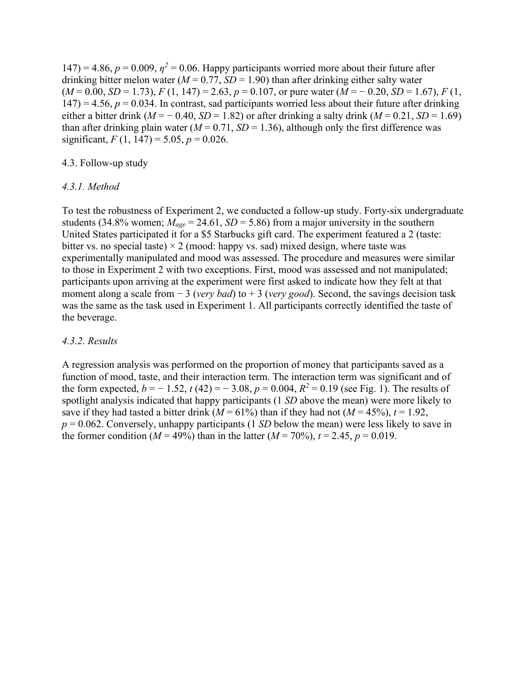$147$ ) = 4.86,  $p = 0.009$ ,  $\eta^2 = 0.06$ . Happy participants worried more about their future after drinking bitter melon water ( $M = 0.77$ ,  $SD = 1.90$ ) than after drinking either salty water  $(M = 0.00, SD = 1.73), F(1, 147) = 2.63, p = 0.107$ , or pure water  $(M = -0.20, SD = 1.67), F(1, 147) = 2.63$  $147$ ) = 4.56,  $p = 0.034$ . In contrast, sad participants worried less about their future after drinking either a bitter drink ( $M = -0.40$ ,  $SD = 1.82$ ) or after drinking a salty drink ( $M = 0.21$ ,  $SD = 1.69$ ) than after drinking plain water ( $M = 0.71$ ,  $SD = 1.36$ ), although only the first difference was significant,  $F(1, 147) = 5.05$ ,  $p = 0.026$ .

#### 4.3. Follow-up study

#### *4.3.1. Method*

To test the robustness of Experiment 2, we conducted a follow-up study. Forty-six undergraduate students (34.8% women;  $M_{age} = 24.61$ ,  $SD = 5.86$ ) from a major university in the southern United States participated it for a \$5 Starbucks gift card. The experiment featured a 2 (taste: bitter vs. no special taste)  $\times$  2 (mood: happy vs. sad) mixed design, where taste was experimentally manipulated and mood was assessed. The procedure and measures were similar to those in Experiment 2 with two exceptions. First, mood was assessed and not manipulated; participants upon arriving at the experiment were first asked to indicate how they felt at that moment along a scale from − 3 (*very bad*) to + 3 (*very good*). Second, the savings decision task was the same as the task used in Experiment 1. All participants correctly identified the taste of the beverage.

#### *4.3.2. Results*

A regression analysis was performed on the proportion of money that participants saved as a function of mood, taste, and their interaction term. The interaction term was significant and of the form expected,  $b = -1.52$ ,  $t(42) = -3.08$ ,  $p = 0.004$ ,  $R^2 = 0.19$  (see Fig. 1). The results of spotlight analysis indicated that happy participants (1 *SD* above the mean) were more likely to save if they had tasted a bitter drink  $(M = 61\%)$  than if they had not  $(M = 45\%)$ ,  $t = 1.92$ ,  $p = 0.062$ . Conversely, unhappy participants (1 *SD* below the mean) were less likely to save in the former condition ( $M = 49\%$ ) than in the latter ( $M = 70\%$ ),  $t = 2.45$ ,  $p = 0.019$ .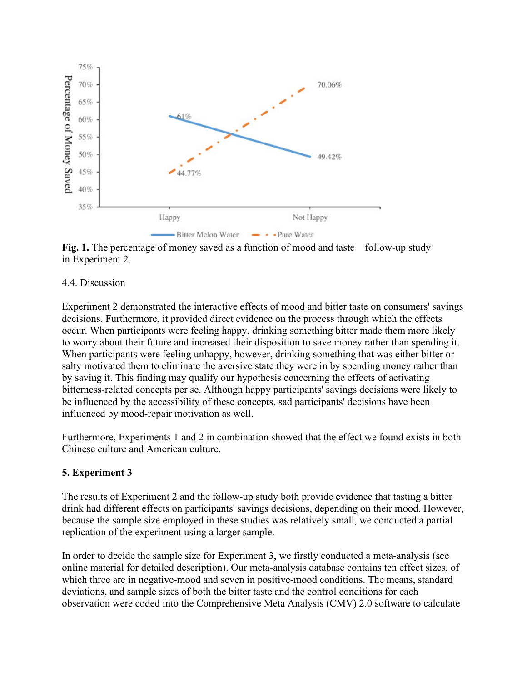

**Fig. 1.** The percentage of money saved as a function of mood and taste—follow-up study in Experiment 2.

#### 4.4. Discussion

Experiment 2 demonstrated the interactive effects of mood and bitter taste on consumers' savings decisions. Furthermore, it provided direct evidence on the process through which the effects occur. When participants were feeling happy, drinking something bitter made them more likely to worry about their future and increased their disposition to save money rather than spending it. When participants were feeling unhappy, however, drinking something that was either bitter or salty motivated them to eliminate the aversive state they were in by spending money rather than by saving it. This finding may qualify our hypothesis concerning the effects of activating bitterness-related concepts per se. Although happy participants' savings decisions were likely to be influenced by the accessibility of these concepts, sad participants' decisions have been influenced by mood-repair motivation as well.

Furthermore, Experiments 1 and 2 in combination showed that the effect we found exists in both Chinese culture and American culture.

## **5. Experiment 3**

The results of Experiment 2 and the follow-up study both provide evidence that tasting a bitter drink had different effects on participants' savings decisions, depending on their mood. However, because the sample size employed in these studies was relatively small, we conducted a partial replication of the experiment using a larger sample.

In order to decide the sample size for Experiment 3, we firstly conducted a meta-analysis (see online material for detailed description). Our meta-analysis database contains ten effect sizes, of which three are in negative-mood and seven in positive-mood conditions. The means, standard deviations, and sample sizes of both the bitter taste and the control conditions for each observation were coded into the Comprehensive Meta Analysis (CMV) 2.0 software to calculate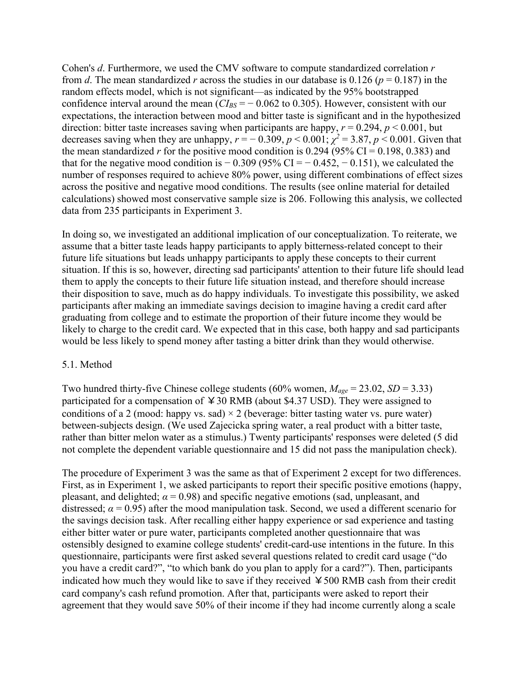Cohen's *d*. Furthermore, we used the CMV software to compute standardized correlation *r* from *d*. The mean standardized *r* across the studies in our database is 0.126 ( $p = 0.187$ ) in the random effects model, which is not significant—as indicated by the 95% bootstrapped confidence interval around the mean  $(CI_{BS} = -0.062 \text{ to } 0.305)$ . However, consistent with our expectations, the interaction between mood and bitter taste is significant and in the hypothesized direction: bitter taste increases saving when participants are happy, *r* = 0.294, *p* < 0.001, but decreases saving when they are unhappy,  $r = -0.309$ ,  $p < 0.001$ ;  $\chi^2 = 3.87$ ,  $p < 0.001$ . Given that the mean standardized *r* for the positive mood condition is 0.294 (95% CI = 0.198, 0.383) and that for the negative mood condition is  $-0.309$  (95% CI =  $-0.452$ ,  $-0.151$ ), we calculated the number of responses required to achieve 80% power, using different combinations of effect sizes across the positive and negative mood conditions. The results (see online material for detailed calculations) showed most conservative sample size is 206. Following this analysis, we collected data from 235 participants in Experiment 3.

In doing so, we investigated an additional implication of our conceptualization. To reiterate, we assume that a bitter taste leads happy participants to apply bitterness-related concept to their future life situations but leads unhappy participants to apply these concepts to their current situation. If this is so, however, directing sad participants' attention to their future life should lead them to apply the concepts to their future life situation instead, and therefore should increase their disposition to save, much as do happy individuals. To investigate this possibility, we asked participants after making an immediate savings decision to imagine having a credit card after graduating from college and to estimate the proportion of their future income they would be likely to charge to the credit card. We expected that in this case, both happy and sad participants would be less likely to spend money after tasting a bitter drink than they would otherwise.

#### 5.1. Method

Two hundred thirty-five Chinese college students (60% women, *Mage* = 23.02, *SD* = 3.33) participated for a compensation of  $430$  RMB (about \$4.37 USD). They were assigned to conditions of a 2 (mood: happy vs. sad)  $\times$  2 (beverage: bitter tasting water vs. pure water) between-subjects design. (We used Zajecicka spring water, a real product with a bitter taste, rather than bitter melon water as a stimulus.) Twenty participants' responses were deleted (5 did not complete the dependent variable questionnaire and 15 did not pass the manipulation check).

The procedure of Experiment 3 was the same as that of Experiment 2 except for two differences. First, as in Experiment 1, we asked participants to report their specific positive emotions (happy, pleasant, and delighted;  $\alpha$  = 0.98) and specific negative emotions (sad, unpleasant, and distressed;  $\alpha$  = 0.95) after the mood manipulation task. Second, we used a different scenario for the savings decision task. After recalling either happy experience or sad experience and tasting either bitter water or pure water, participants completed another questionnaire that was ostensibly designed to examine college students' credit-card-use intentions in the future. In this questionnaire, participants were first asked several questions related to credit card usage ("do you have a credit card?", "to which bank do you plan to apply for a card?"). Then, participants indicated how much they would like to save if they received  $\yen$  500 RMB cash from their credit card company's cash refund promotion. After that, participants were asked to report their agreement that they would save 50% of their income if they had income currently along a scale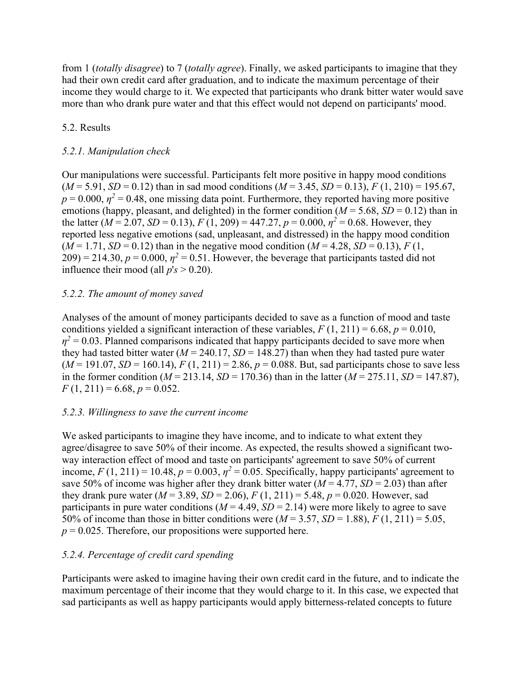from 1 (*totally disagree*) to 7 (*totally agree*). Finally, we asked participants to imagine that they had their own credit card after graduation, and to indicate the maximum percentage of their income they would charge to it. We expected that participants who drank bitter water would save more than who drank pure water and that this effect would not depend on participants' mood.

## 5.2. Results

## *5.2.1. Manipulation check*

Our manipulations were successful. Participants felt more positive in happy mood conditions  $(M = 5.91, SD = 0.12)$  than in sad mood conditions  $(M = 3.45, SD = 0.13)$ ,  $F(1, 210) = 195.67$ ,  $p = 0.000$ ,  $p^2 = 0.48$ , one missing data point. Furthermore, they reported having more positive emotions (happy, pleasant, and delighted) in the former condition  $(M = 5.68, SD = 0.12)$  than in the latter ( $M = 2.07$ , *SD* = 0.13),  $F(1, 209) = 447.27$ ,  $p = 0.000$ ,  $p^2 = 0.68$ . However, they reported less negative emotions (sad, unpleasant, and distressed) in the happy mood condition  $(M = 1.71, SD = 0.12)$  than in the negative mood condition  $(M = 4.28, SD = 0.13)$ ,  $F(1,$  $209$ ) = 214.30,  $p = 0.000$ ,  $\eta^2 = 0.51$ . However, the beverage that participants tasted did not influence their mood (all  $p's > 0.20$ ).

## *5.2.2. The amount of money saved*

Analyses of the amount of money participants decided to save as a function of mood and taste conditions yielded a significant interaction of these variables,  $F(1, 211) = 6.68$ ,  $p = 0.010$ ,  $\eta^2$  = 0.03. Planned comparisons indicated that happy participants decided to save more when they had tasted bitter water  $(M = 240.17, SD = 148.27)$  than when they had tasted pure water  $(M = 191.07, SD = 160.14), F(1, 211) = 2.86, p = 0.088$ . But, sad participants chose to save less in the former condition ( $M = 213.14$ ,  $SD = 170.36$ ) than in the latter ( $M = 275.11$ ,  $SD = 147.87$ ),  $F(1, 211) = 6.68, p = 0.052.$ 

## *5.2.3. Willingness to save the current income*

We asked participants to imagine they have income, and to indicate to what extent they agree/disagree to save 50% of their income. As expected, the results showed a significant twoway interaction effect of mood and taste on participants' agreement to save 50% of current income,  $F(1, 211) = 10.48$ ,  $p = 0.003$ ,  $p^2 = 0.05$ . Specifically, happy participants' agreement to save 50% of income was higher after they drank bitter water  $(M = 4.77, SD = 2.03)$  than after they drank pure water  $(M = 3.89, SD = 2.06)$ ,  $F(1, 211) = 5.48$ ,  $p = 0.020$ . However, sad participants in pure water conditions  $(M = 4.49, SD = 2.14)$  were more likely to agree to save 50% of income than those in bitter conditions were  $(M = 3.57, SD = 1.88)$ ,  $F(1, 211) = 5.05$ ,  $p = 0.025$ . Therefore, our propositions were supported here.

## *5.2.4. Percentage of credit card spending*

Participants were asked to imagine having their own credit card in the future, and to indicate the maximum percentage of their income that they would charge to it. In this case, we expected that sad participants as well as happy participants would apply bitterness-related concepts to future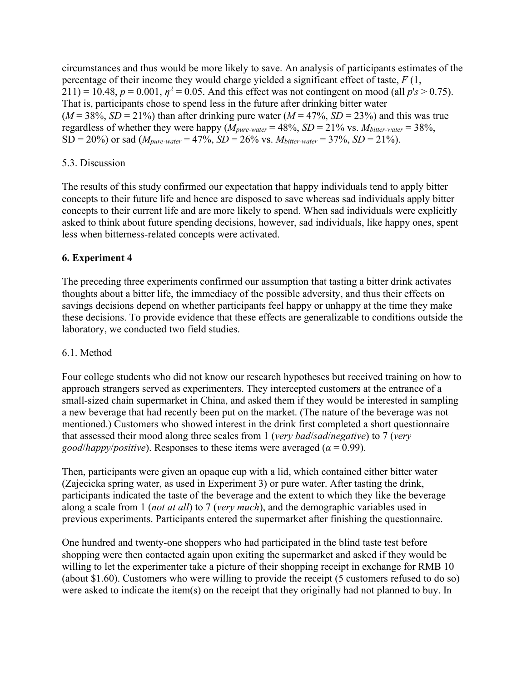circumstances and thus would be more likely to save. An analysis of participants estimates of the percentage of their income they would charge yielded a significant effect of taste, *F* (1,  $211$ ) = 10.48,  $p = 0.001$ ,  $\eta^2 = 0.05$ . And this effect was not contingent on mood (all  $p's > 0.75$ ). That is, participants chose to spend less in the future after drinking bitter water  $(M = 38\%, SD = 21\%)$  than after drinking pure water  $(M = 47\%, SD = 23\%)$  and this was true regardless of whether they were happy  $(M_{pure\text{-}water} = 48\%, SD = 21\% \text{ vs. } M_{bitter\text{-}water} = 38\%,$  $SD = 20\%$ ) or sad (*M<sub>pure-water</sub>* = 47%,  $SD = 26\%$  vs. *Mbitter-water* = 37%,  $SD = 21\%$ ).

## 5.3. Discussion

The results of this study confirmed our expectation that happy individuals tend to apply bitter concepts to their future life and hence are disposed to save whereas sad individuals apply bitter concepts to their current life and are more likely to spend. When sad individuals were explicitly asked to think about future spending decisions, however, sad individuals, like happy ones, spent less when bitterness-related concepts were activated.

## **6. Experiment 4**

The preceding three experiments confirmed our assumption that tasting a bitter drink activates thoughts about a bitter life, the immediacy of the possible adversity, and thus their effects on savings decisions depend on whether participants feel happy or unhappy at the time they make these decisions. To provide evidence that these effects are generalizable to conditions outside the laboratory, we conducted two field studies.

## 6.1. Method

Four college students who did not know our research hypotheses but received training on how to approach strangers served as experimenters. They intercepted customers at the entrance of a small-sized chain supermarket in China, and asked them if they would be interested in sampling a new beverage that had recently been put on the market. (The nature of the beverage was not mentioned.) Customers who showed interest in the drink first completed a short questionnaire that assessed their mood along three scales from 1 (*very bad*/*sad*/*negative*) to 7 (*very good*/*happy*/*positive*). Responses to these items were averaged ( $\alpha$  = 0.99).

Then, participants were given an opaque cup with a lid, which contained either bitter water (Zajecicka spring water, as used in Experiment 3) or pure water. After tasting the drink, participants indicated the taste of the beverage and the extent to which they like the beverage along a scale from 1 (*not at all*) to 7 (*very much*), and the demographic variables used in previous experiments. Participants entered the supermarket after finishing the questionnaire.

One hundred and twenty-one shoppers who had participated in the blind taste test before shopping were then contacted again upon exiting the supermarket and asked if they would be willing to let the experimenter take a picture of their shopping receipt in exchange for RMB 10 (about \$1.60). Customers who were willing to provide the receipt (5 customers refused to do so) were asked to indicate the item(s) on the receipt that they originally had not planned to buy. In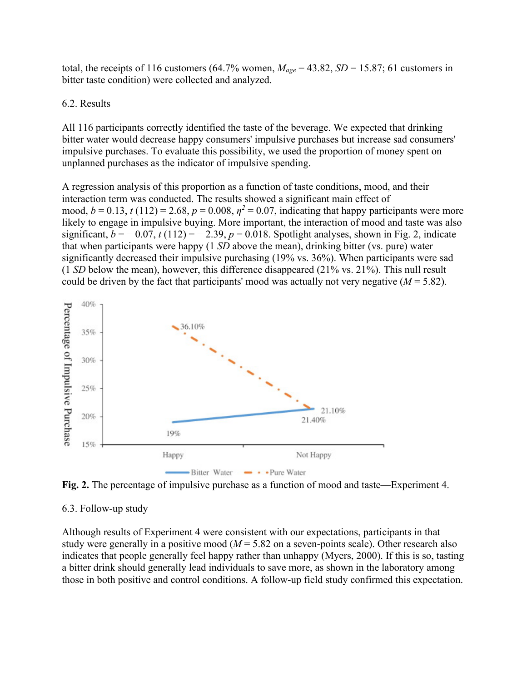total, the receipts of 116 customers (64.7% women,  $M_{age} = 43.82$ ,  $SD = 15.87$ ; 61 customers in bitter taste condition) were collected and analyzed.

#### 6.2. Results

All 116 participants correctly identified the taste of the beverage. We expected that drinking bitter water would decrease happy consumers' impulsive purchases but increase sad consumers' impulsive purchases. To evaluate this possibility, we used the proportion of money spent on unplanned purchases as the indicator of impulsive spending.

A regression analysis of this proportion as a function of taste conditions, mood, and their interaction term was conducted. The results showed a significant main effect of mood,  $b = 0.13$ ,  $t(112) = 2.68$ ,  $p = 0.008$ ,  $p^2 = 0.07$ , indicating that happy participants were more likely to engage in impulsive buying. More important, the interaction of mood and taste was also significant,  $b = -0.07$ ,  $t(112) = -2.39$ ,  $p = 0.018$ . Spotlight analyses, shown in Fig. 2, indicate that when participants were happy (1 *SD* above the mean), drinking bitter (vs. pure) water significantly decreased their impulsive purchasing (19% vs. 36%). When participants were sad (1 *SD* below the mean), however, this difference disappeared (21% vs. 21%). This null result could be driven by the fact that participants' mood was actually not very negative  $(M = 5.82)$ .



**Fig. 2.** The percentage of impulsive purchase as a function of mood and taste—Experiment 4.

## 6.3. Follow-up study

Although results of Experiment 4 were consistent with our expectations, participants in that study were generally in a positive mood (*M* = 5.82 on a seven-points scale). Other research also indicates that people generally feel happy rather than unhappy (Myers, 2000). If this is so, tasting a bitter drink should generally lead individuals to save more, as shown in the laboratory among those in both positive and control conditions. A follow-up field study confirmed this expectation.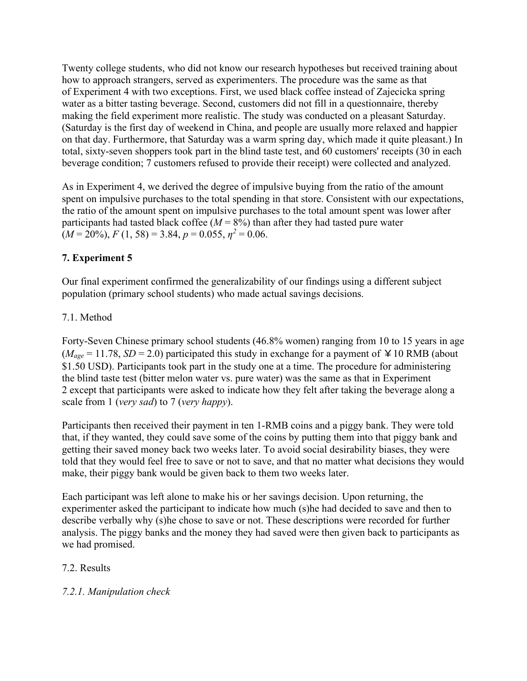Twenty college students, who did not know our research hypotheses but received training about how to approach strangers, served as experimenters. The procedure was the same as that of Experiment 4 with two exceptions. First, we used black coffee instead of Zajecicka spring water as a bitter tasting beverage. Second, customers did not fill in a questionnaire, thereby making the field experiment more realistic. The study was conducted on a pleasant Saturday. (Saturday is the first day of weekend in China, and people are usually more relaxed and happier on that day. Furthermore, that Saturday was a warm spring day, which made it quite pleasant.) In total, sixty-seven shoppers took part in the blind taste test, and 60 customers' receipts (30 in each beverage condition; 7 customers refused to provide their receipt) were collected and analyzed.

As in Experiment 4, we derived the degree of impulsive buying from the ratio of the amount spent on impulsive purchases to the total spending in that store. Consistent with our expectations, the ratio of the amount spent on impulsive purchases to the total amount spent was lower after participants had tasted black coffee  $(M = 8\%)$  than after they had tasted pure water  $(M = 20\%)$ ,  $F(1, 58) = 3.84$ ,  $p = 0.055$ ,  $n^2 = 0.06$ .

# **7. Experiment 5**

Our final experiment confirmed the generalizability of our findings using a different subject population (primary school students) who made actual savings decisions.

# 7.1. Method

Forty-Seven Chinese primary school students (46.8% women) ranging from 10 to 15 years in age  $(M<sub>age</sub> = 11.78, SD = 2.0)$  participated this study in exchange for a payment of  $\angle 10$  RMB (about \$1.50 USD). Participants took part in the study one at a time. The procedure for administering the blind taste test (bitter melon water vs. pure water) was the same as that in Experiment 2 except that participants were asked to indicate how they felt after taking the beverage along a scale from 1 (*very sad*) to 7 (*very happy*).

Participants then received their payment in ten 1-RMB coins and a piggy bank. They were told that, if they wanted, they could save some of the coins by putting them into that piggy bank and getting their saved money back two weeks later. To avoid social desirability biases, they were told that they would feel free to save or not to save, and that no matter what decisions they would make, their piggy bank would be given back to them two weeks later.

Each participant was left alone to make his or her savings decision. Upon returning, the experimenter asked the participant to indicate how much (s)he had decided to save and then to describe verbally why (s)he chose to save or not. These descriptions were recorded for further analysis. The piggy banks and the money they had saved were then given back to participants as we had promised.

# 7.2. Results

# *7.2.1. Manipulation check*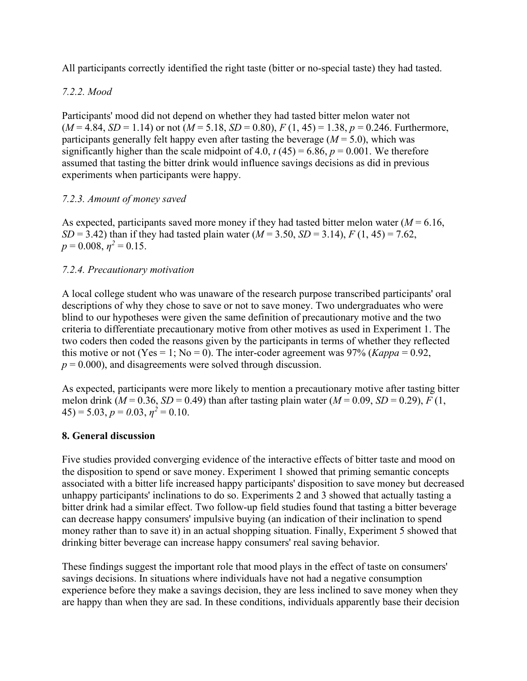All participants correctly identified the right taste (bitter or no-special taste) they had tasted.

# *7.2.2. Mood*

Participants' mood did not depend on whether they had tasted bitter melon water not  $(M = 4.84, SD = 1.14)$  or not  $(M = 5.18, SD = 0.80)$ ,  $F(1, 45) = 1.38$ ,  $p = 0.246$ . Furthermore, participants generally felt happy even after tasting the beverage  $(M = 5.0)$ , which was significantly higher than the scale midpoint of 4.0,  $t(45) = 6.86$ ,  $p = 0.001$ . We therefore assumed that tasting the bitter drink would influence savings decisions as did in previous experiments when participants were happy.

## *7.2.3. Amount of money saved*

As expected, participants saved more money if they had tasted bitter melon water  $(M = 6.16,$ *SD* = 3.42) than if they had tasted plain water ( $M = 3.50$ , *SD* = 3.14),  $F(1, 45) = 7.62$ ,  $p = 0.008$ ,  $n^2 = 0.15$ .

## *7.2.4. Precautionary motivation*

A local college student who was unaware of the research purpose transcribed participants' oral descriptions of why they chose to save or not to save money. Two undergraduates who were blind to our hypotheses were given the same definition of precautionary motive and the two criteria to differentiate precautionary motive from other motives as used in Experiment 1. The two coders then coded the reasons given by the participants in terms of whether they reflected this motive or not (Yes = 1; No = 0). The inter-coder agreement was  $97\%$  (*Kappa* = 0.92,  $p = 0.000$ , and disagreements were solved through discussion.

As expected, participants were more likely to mention a precautionary motive after tasting bitter melon drink ( $M = 0.36$ ,  $SD = 0.49$ ) than after tasting plain water ( $M = 0.09$ ,  $SD = 0.29$ ),  $F(1, 0.09)$  $(45) = 5.03, p = 0.03, n^2 = 0.10.$ 

## **8. General discussion**

Five studies provided converging evidence of the interactive effects of bitter taste and mood on the disposition to spend or save money. Experiment 1 showed that priming semantic concepts associated with a bitter life increased happy participants' disposition to save money but decreased unhappy participants' inclinations to do so. Experiments 2 and 3 showed that actually tasting a bitter drink had a similar effect. Two follow-up field studies found that tasting a bitter beverage can decrease happy consumers' impulsive buying (an indication of their inclination to spend money rather than to save it) in an actual shopping situation. Finally, Experiment 5 showed that drinking bitter beverage can increase happy consumers' real saving behavior.

These findings suggest the important role that mood plays in the effect of taste on consumers' savings decisions. In situations where individuals have not had a negative consumption experience before they make a savings decision, they are less inclined to save money when they are happy than when they are sad. In these conditions, individuals apparently base their decision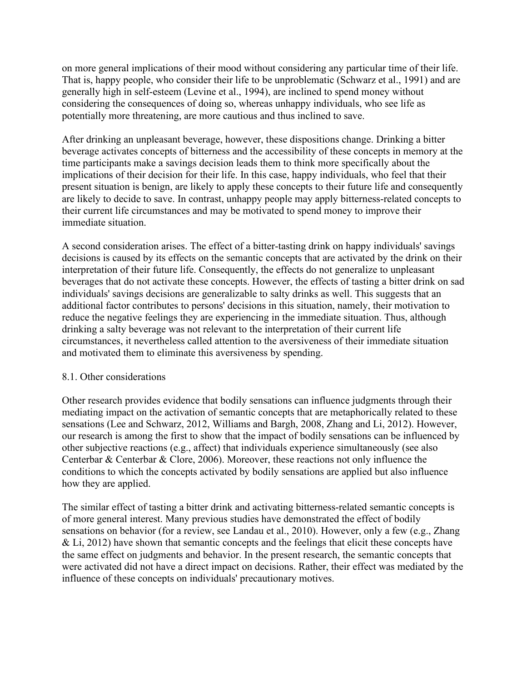on more general implications of their mood without considering any particular time of their life. That is, happy people, who consider their life to be unproblematic (Schwarz et al., 1991) and are generally high in self-esteem (Levine et al., 1994), are inclined to spend money without considering the consequences of doing so, whereas unhappy individuals, who see life as potentially more threatening, are more cautious and thus inclined to save.

After drinking an unpleasant beverage, however, these dispositions change. Drinking a bitter beverage activates concepts of bitterness and the accessibility of these concepts in memory at the time participants make a savings decision leads them to think more specifically about the implications of their decision for their life. In this case, happy individuals, who feel that their present situation is benign, are likely to apply these concepts to their future life and consequently are likely to decide to save. In contrast, unhappy people may apply bitterness-related concepts to their current life circumstances and may be motivated to spend money to improve their immediate situation.

A second consideration arises. The effect of a bitter-tasting drink on happy individuals' savings decisions is caused by its effects on the semantic concepts that are activated by the drink on their interpretation of their future life. Consequently, the effects do not generalize to unpleasant beverages that do not activate these concepts. However, the effects of tasting a bitter drink on sad individuals' savings decisions are generalizable to salty drinks as well. This suggests that an additional factor contributes to persons' decisions in this situation, namely, their motivation to reduce the negative feelings they are experiencing in the immediate situation. Thus, although drinking a salty beverage was not relevant to the interpretation of their current life circumstances, it nevertheless called attention to the aversiveness of their immediate situation and motivated them to eliminate this aversiveness by spending.

#### 8.1. Other considerations

Other research provides evidence that bodily sensations can influence judgments through their mediating impact on the activation of semantic concepts that are metaphorically related to these sensations (Lee and Schwarz, 2012, Williams and Bargh, 2008, Zhang and Li, 2012). However, our research is among the first to show that the impact of bodily sensations can be influenced by other subjective reactions (e.g., affect) that individuals experience simultaneously (see also Centerbar & Centerbar & Clore, 2006). Moreover, these reactions not only influence the conditions to which the concepts activated by bodily sensations are applied but also influence how they are applied.

The similar effect of tasting a bitter drink and activating bitterness-related semantic concepts is of more general interest. Many previous studies have demonstrated the effect of bodily sensations on behavior (for a review, see Landau et al., 2010). However, only a few (e.g., Zhang  $&$  Li, 2012) have shown that semantic concepts and the feelings that elicit these concepts have the same effect on judgments and behavior. In the present research, the semantic concepts that were activated did not have a direct impact on decisions. Rather, their effect was mediated by the influence of these concepts on individuals' precautionary motives.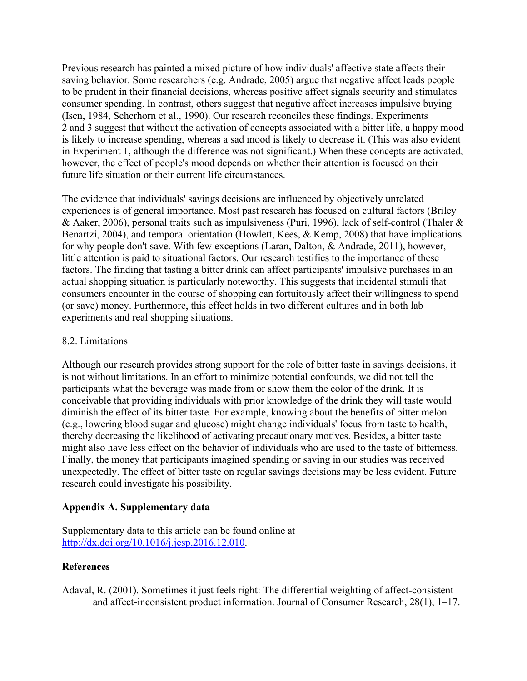Previous research has painted a mixed picture of how individuals' affective state affects their saving behavior. Some researchers (e.g. Andrade, 2005) argue that negative affect leads people to be prudent in their financial decisions, whereas positive affect signals security and stimulates consumer spending. In contrast, others suggest that negative affect increases impulsive buying (Isen, 1984, Scherhorn et al., 1990). Our research reconciles these findings. Experiments 2 and 3 suggest that without the activation of concepts associated with a bitter life, a happy mood is likely to increase spending, whereas a sad mood is likely to decrease it. (This was also evident in Experiment 1, although the difference was not significant.) When these concepts are activated, however, the effect of people's mood depends on whether their attention is focused on their future life situation or their current life circumstances.

The evidence that individuals' savings decisions are influenced by objectively unrelated experiences is of general importance. Most past research has focused on cultural factors (Briley & Aaker, 2006), personal traits such as impulsiveness (Puri, 1996), lack of self-control (Thaler & Benartzi, 2004), and temporal orientation (Howlett, Kees, & Kemp, 2008) that have implications for why people don't save. With few exceptions (Laran, Dalton, & Andrade, 2011), however, little attention is paid to situational factors. Our research testifies to the importance of these factors. The finding that tasting a bitter drink can affect participants' impulsive purchases in an actual shopping situation is particularly noteworthy. This suggests that incidental stimuli that consumers encounter in the course of shopping can fortuitously affect their willingness to spend (or save) money. Furthermore, this effect holds in two different cultures and in both lab experiments and real shopping situations.

### 8.2. Limitations

Although our research provides strong support for the role of bitter taste in savings decisions, it is not without limitations. In an effort to minimize potential confounds, we did not tell the participants what the beverage was made from or show them the color of the drink. It is conceivable that providing individuals with prior knowledge of the drink they will taste would diminish the effect of its bitter taste. For example, knowing about the benefits of bitter melon (e.g., lowering blood sugar and glucose) might change individuals' focus from taste to health, thereby decreasing the likelihood of activating precautionary motives. Besides, a bitter taste might also have less effect on the behavior of individuals who are used to the taste of bitterness. Finally, the money that participants imagined spending or saving in our studies was received unexpectedly. The effect of bitter taste on regular savings decisions may be less evident. Future research could investigate his possibility.

## **Appendix A. Supplementary data**

Supplementary data to this article can be found online at [http://dx.doi.org/10.1016/j.jesp.2016.12.010.](http://dx.doi.org/10.1016/j.jesp.2016.12.010)

#### **References**

Adaval, R. (2001). Sometimes it just feels right: The differential weighting of affect-consistent and affect-inconsistent product information. Journal of Consumer Research, 28(1), 1–17.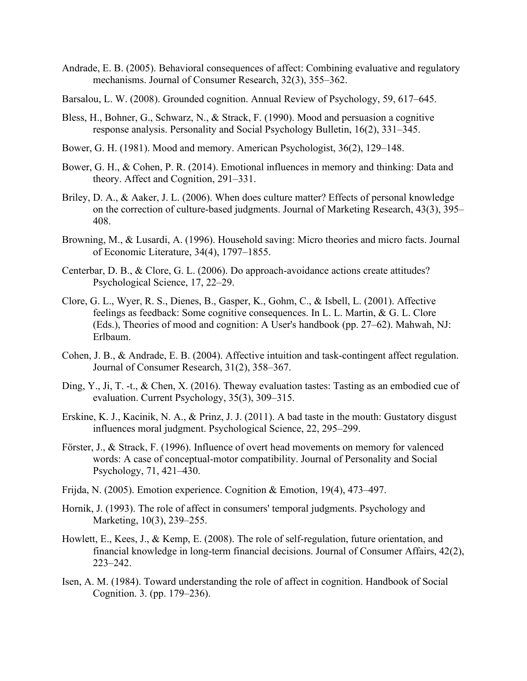- Andrade, E. B. (2005). Behavioral consequences of affect: Combining evaluative and regulatory mechanisms. Journal of Consumer Research, 32(3), 355–362.
- Barsalou, L. W. (2008). Grounded cognition. Annual Review of Psychology, 59, 617–645.
- Bless, H., Bohner, G., Schwarz, N., & Strack, F. (1990). Mood and persuasion a cognitive response analysis. Personality and Social Psychology Bulletin, 16(2), 331–345.
- Bower, G. H. (1981). Mood and memory. American Psychologist, 36(2), 129–148.
- Bower, G. H., & Cohen, P. R. (2014). Emotional influences in memory and thinking: Data and theory. Affect and Cognition, 291–331.
- Briley, D. A., & Aaker, J. L. (2006). When does culture matter? Effects of personal knowledge on the correction of culture-based judgments. Journal of Marketing Research, 43(3), 395– 408.
- Browning, M., & Lusardi, A. (1996). Household saving: Micro theories and micro facts. Journal of Economic Literature, 34(4), 1797–1855.
- Centerbar, D. B., & Clore, G. L. (2006). Do approach-avoidance actions create attitudes? Psychological Science, 17, 22–29.
- Clore, G. L., Wyer, R. S., Dienes, B., Gasper, K., Gohm, C., & Isbell, L. (2001). Affective feelings as feedback: Some cognitive consequences. In L. L. Martin, & G. L. Clore (Eds.), Theories of mood and cognition: A User's handbook (pp. 27–62). Mahwah, NJ: Erlbaum.
- Cohen, J. B., & Andrade, E. B. (2004). Affective intuition and task-contingent affect regulation. Journal of Consumer Research, 31(2), 358–367.
- Ding, Y., Ji, T. -t., & Chen, X. (2016). Theway evaluation tastes: Tasting as an embodied cue of evaluation. Current Psychology, 35(3), 309–315.
- Erskine, K. J., Kacinik, N. A., & Prinz, J. J. (2011). A bad taste in the mouth: Gustatory disgust influences moral judgment. Psychological Science, 22, 295–299.
- Förster, J., & Strack, F. (1996). Influence of overt head movements on memory for valenced words: A case of conceptual-motor compatibility. Journal of Personality and Social Psychology, 71, 421–430.
- Frijda, N. (2005). Emotion experience. Cognition & Emotion, 19(4), 473–497.
- Hornik, J. (1993). The role of affect in consumers' temporal judgments. Psychology and Marketing, 10(3), 239–255.
- Howlett, E., Kees, J., & Kemp, E. (2008). The role of self-regulation, future orientation, and financial knowledge in long-term financial decisions. Journal of Consumer Affairs, 42(2), 223–242.
- Isen, A. M. (1984). Toward understanding the role of affect in cognition. Handbook of Social Cognition. 3. (pp. 179–236).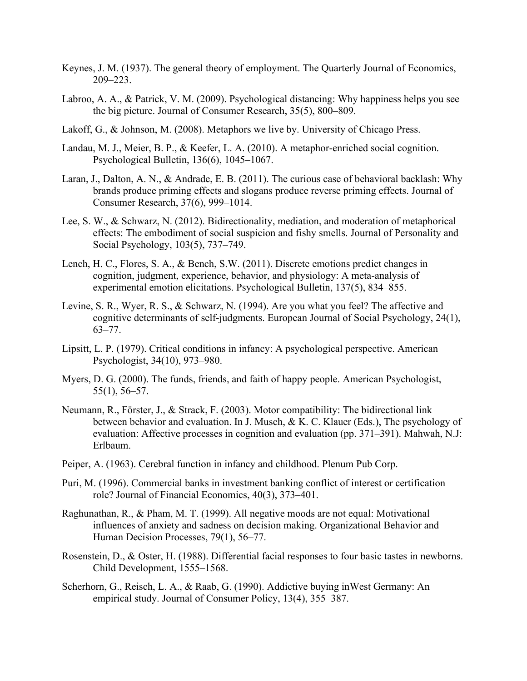- Keynes, J. M. (1937). The general theory of employment. The Quarterly Journal of Economics, 209–223.
- Labroo, A. A., & Patrick, V. M. (2009). Psychological distancing: Why happiness helps you see the big picture. Journal of Consumer Research, 35(5), 800–809.
- Lakoff, G., & Johnson, M. (2008). Metaphors we live by. University of Chicago Press.
- Landau, M. J., Meier, B. P., & Keefer, L. A. (2010). A metaphor-enriched social cognition. Psychological Bulletin, 136(6), 1045–1067.
- Laran, J., Dalton, A. N., & Andrade, E. B. (2011). The curious case of behavioral backlash: Why brands produce priming effects and slogans produce reverse priming effects. Journal of Consumer Research, 37(6), 999–1014.
- Lee, S. W., & Schwarz, N. (2012). Bidirectionality, mediation, and moderation of metaphorical effects: The embodiment of social suspicion and fishy smells. Journal of Personality and Social Psychology, 103(5), 737–749.
- Lench, H. C., Flores, S. A., & Bench, S.W. (2011). Discrete emotions predict changes in cognition, judgment, experience, behavior, and physiology: A meta-analysis of experimental emotion elicitations. Psychological Bulletin, 137(5), 834–855.
- Levine, S. R., Wyer, R. S., & Schwarz, N. (1994). Are you what you feel? The affective and cognitive determinants of self-judgments. European Journal of Social Psychology, 24(1), 63–77.
- Lipsitt, L. P. (1979). Critical conditions in infancy: A psychological perspective. American Psychologist, 34(10), 973–980.
- Myers, D. G. (2000). The funds, friends, and faith of happy people. American Psychologist, 55(1), 56–57.
- Neumann, R., Förster, J., & Strack, F. (2003). Motor compatibility: The bidirectional link between behavior and evaluation. In J. Musch, & K. C. Klauer (Eds.), The psychology of evaluation: Affective processes in cognition and evaluation (pp. 371–391). Mahwah, N.J: Erlbaum.
- Peiper, A. (1963). Cerebral function in infancy and childhood. Plenum Pub Corp.
- Puri, M. (1996). Commercial banks in investment banking conflict of interest or certification role? Journal of Financial Economics, 40(3), 373–401.
- Raghunathan, R., & Pham, M. T. (1999). All negative moods are not equal: Motivational influences of anxiety and sadness on decision making. Organizational Behavior and Human Decision Processes, 79(1), 56–77.
- Rosenstein, D., & Oster, H. (1988). Differential facial responses to four basic tastes in newborns. Child Development, 1555–1568.
- Scherhorn, G., Reisch, L. A., & Raab, G. (1990). Addictive buying inWest Germany: An empirical study. Journal of Consumer Policy, 13(4), 355–387.